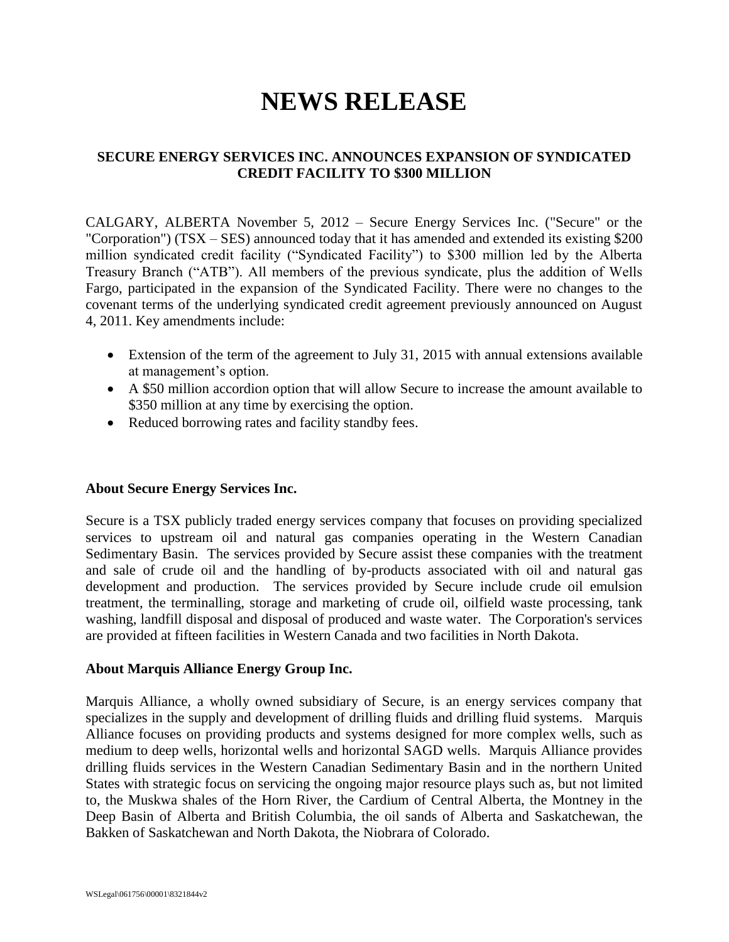# **NEWS RELEASE**

## **SECURE ENERGY SERVICES INC. ANNOUNCES EXPANSION OF SYNDICATED CREDIT FACILITY TO \$300 MILLION**

CALGARY, ALBERTA November 5, 2012 – Secure Energy Services Inc. ("Secure" or the "Corporation") (TSX – SES) announced today that it has amended and extended its existing \$200 million syndicated credit facility ("Syndicated Facility") to \$300 million led by the Alberta Treasury Branch ("ATB"). All members of the previous syndicate, plus the addition of Wells Fargo, participated in the expansion of the Syndicated Facility. There were no changes to the covenant terms of the underlying syndicated credit agreement previously announced on August 4, 2011. Key amendments include:

- Extension of the term of the agreement to July 31, 2015 with annual extensions available at management's option.
- A \$50 million accordion option that will allow Secure to increase the amount available to \$350 million at any time by exercising the option.
- Reduced borrowing rates and facility standby fees.

### **About Secure Energy Services Inc.**

Secure is a TSX publicly traded energy services company that focuses on providing specialized services to upstream oil and natural gas companies operating in the Western Canadian Sedimentary Basin. The services provided by Secure assist these companies with the treatment and sale of crude oil and the handling of by-products associated with oil and natural gas development and production. The services provided by Secure include crude oil emulsion treatment, the terminalling, storage and marketing of crude oil, oilfield waste processing, tank washing, landfill disposal and disposal of produced and waste water. The Corporation's services are provided at fifteen facilities in Western Canada and two facilities in North Dakota.

### **About Marquis Alliance Energy Group Inc.**

Marquis Alliance, a wholly owned subsidiary of Secure, is an energy services company that specializes in the supply and development of drilling fluids and drilling fluid systems. Marquis Alliance focuses on providing products and systems designed for more complex wells, such as medium to deep wells, horizontal wells and horizontal SAGD wells. Marquis Alliance provides drilling fluids services in the Western Canadian Sedimentary Basin and in the northern United States with strategic focus on servicing the ongoing major resource plays such as, but not limited to, the Muskwa shales of the Horn River, the Cardium of Central Alberta, the Montney in the Deep Basin of Alberta and British Columbia, the oil sands of Alberta and Saskatchewan, the Bakken of Saskatchewan and North Dakota, the Niobrara of Colorado.